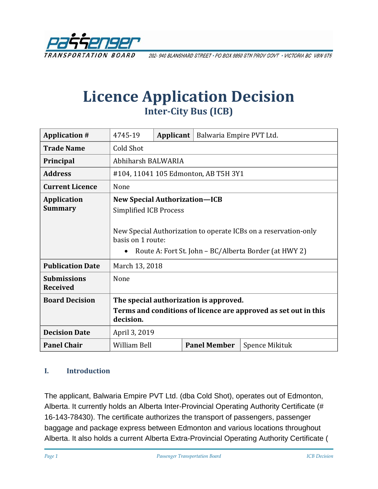

202-940 BLANSHARD STREET · PO BOX 9850 STN PROV GOVT · VICTORIA BC V8W 9T5

# **Licence Application Decision Inter-City Bus (ICB)**

| <b>Application #</b>                  | 4745-19                                                                                                                                                                                                                | Applicant | Balwaria Empire PVT Ltd. |                |
|---------------------------------------|------------------------------------------------------------------------------------------------------------------------------------------------------------------------------------------------------------------------|-----------|--------------------------|----------------|
| <b>Trade Name</b>                     | Cold Shot                                                                                                                                                                                                              |           |                          |                |
| Principal                             | Abhiharsh BALWARIA                                                                                                                                                                                                     |           |                          |                |
| <b>Address</b>                        | #104, 11041 105 Edmonton, AB T5H 3Y1                                                                                                                                                                                   |           |                          |                |
| <b>Current Licence</b>                | None                                                                                                                                                                                                                   |           |                          |                |
| <b>Application</b><br><b>Summary</b>  | <b>New Special Authorization-ICB</b><br><b>Simplified ICB Process</b><br>New Special Authorization to operate ICBs on a reservation-only<br>basis on 1 route:<br>Route A: Fort St. John - BC/Alberta Border (at HWY 2) |           |                          |                |
| <b>Publication Date</b>               | March 13, 2018                                                                                                                                                                                                         |           |                          |                |
| <b>Submissions</b><br><b>Received</b> | None                                                                                                                                                                                                                   |           |                          |                |
| <b>Board Decision</b>                 | The special authorization is approved.<br>Terms and conditions of licence are approved as set out in this<br>decision.                                                                                                 |           |                          |                |
| <b>Decision Date</b>                  | April 3, 2019                                                                                                                                                                                                          |           |                          |                |
| <b>Panel Chair</b>                    | <b>William Bell</b>                                                                                                                                                                                                    |           | <b>Panel Member</b>      | Spence Mikituk |

#### **I. Introduction**

The applicant, Balwaria Empire PVT Ltd. (dba Cold Shot), operates out of Edmonton, Alberta. It currently holds an Alberta Inter-Provincial Operating Authority Certificate (# 16-143-78430). The certificate authorizes the transport of passengers, passenger baggage and package express between Edmonton and various locations throughout Alberta. It also holds a current Alberta Extra-Provincial Operating Authority Certificate (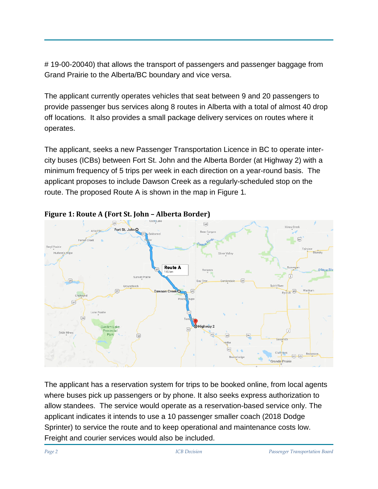# 19-00-20040) that allows the transport of passengers and passenger baggage from Grand Prairie to the Alberta/BC boundary and vice versa.

The applicant currently operates vehicles that seat between 9 and 20 passengers to provide passenger bus services along 8 routes in Alberta with a total of almost 40 drop off locations. It also provides a small package delivery services on routes where it operates.

The applicant, seeks a new Passenger Transportation Licence in BC to operate intercity buses (ICBs) between Fort St. John and the Alberta Border (at Highway 2) with a minimum frequency of 5 trips per week in each direction on a year-round basis. The applicant proposes to include Dawson Creek as a regularly-scheduled stop on the route. The proposed Route A is shown in the map in Figure 1.



#### **Figure 1: Route A (Fort St. John – Alberta Border)**

The applicant has a reservation system for trips to be booked online, from local agents where buses pick up passengers or by phone. It also seeks express authorization to allow standees. The service would operate as a reservation-based service only. The applicant indicates it intends to use a 10 passenger smaller coach (2018 Dodge Sprinter) to service the route and to keep operational and maintenance costs low. Freight and courier services would also be included.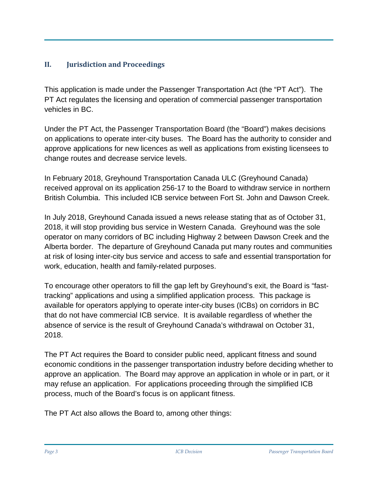## **II. Jurisdiction and Proceedings**

This application is made under the Passenger Transportation Act (the "PT Act"). The PT Act regulates the licensing and operation of commercial passenger transportation vehicles in BC.

Under the PT Act, the Passenger Transportation Board (the "Board") makes decisions on applications to operate inter-city buses. The Board has the authority to consider and approve applications for new licences as well as applications from existing licensees to change routes and decrease service levels.

In February 2018, Greyhound Transportation Canada ULC (Greyhound Canada) received approval on its application 256-17 to the Board to withdraw service in northern British Columbia. This included ICB service between Fort St. John and Dawson Creek.

In July 2018, Greyhound Canada issued a news release stating that as of October 31, 2018, it will stop providing bus service in Western Canada. Greyhound was the sole operator on many corridors of BC including Highway 2 between Dawson Creek and the Alberta border. The departure of Greyhound Canada put many routes and communities at risk of losing inter-city bus service and access to safe and essential transportation for work, education, health and family-related purposes.

To encourage other operators to fill the gap left by Greyhound's exit, the Board is "fasttracking" applications and using a simplified application process. This package is available for operators applying to operate inter-city buses (ICBs) on corridors in BC that do not have commercial ICB service. It is available regardless of whether the absence of service is the result of Greyhound Canada's withdrawal on October 31, 2018.

The PT Act requires the Board to consider public need, applicant fitness and sound economic conditions in the passenger transportation industry before deciding whether to approve an application. The Board may approve an application in whole or in part, or it may refuse an application. For applications proceeding through the simplified ICB process, much of the Board's focus is on applicant fitness.

The PT Act also allows the Board to, among other things: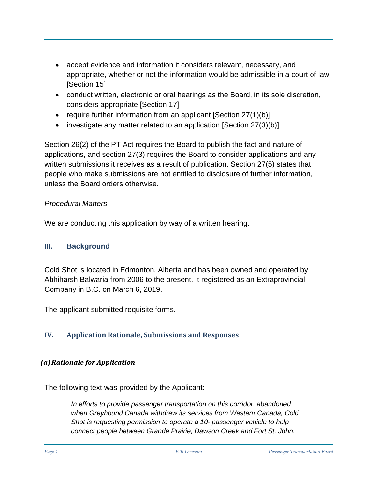- accept evidence and information it considers relevant, necessary, and appropriate, whether or not the information would be admissible in a court of law [Section 15]
- conduct written, electronic or oral hearings as the Board, in its sole discretion, considers appropriate [Section 17]
- require further information from an applicant [Section 27(1)(b)]
- investigate any matter related to an application [Section 27(3)(b)]

Section 26(2) of the PT Act requires the Board to publish the fact and nature of applications, and section 27(3) requires the Board to consider applications and any written submissions it receives as a result of publication. Section 27(5) states that people who make submissions are not entitled to disclosure of further information, unless the Board orders otherwise.

#### *Procedural Matters*

We are conducting this application by way of a written hearing.

### **III. Background**

Cold Shot is located in Edmonton, Alberta and has been owned and operated by Abhiharsh Balwaria from 2006 to the present. It registered as an Extraprovincial Company in B.C. on March 6, 2019.

The applicant submitted requisite forms.

## **IV. Application Rationale, Submissions and Responses**

## *(a)Rationale for Application*

The following text was provided by the Applicant:

*In efforts to provide passenger transportation on this corridor, abandoned when Greyhound Canada withdrew its services from Western Canada, Cold Shot is requesting permission to operate a 10- passenger vehicle to help connect people between Grande Prairie, Dawson Creek and Fort St. John.*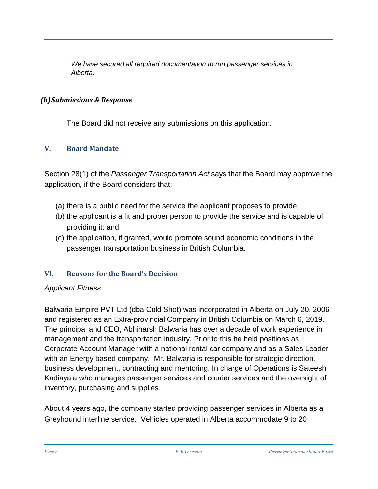*We have secured all required documentation to run passenger services in Alberta.* 

#### *(b)Submissions & Response*

The Board did not receive any submissions on this application.

#### **V. Board Mandate**

Section 28(1) of the *Passenger Transportation Act* says that the Board may approve the application, if the Board considers that:

- (a) there is a public need for the service the applicant proposes to provide;
- (b) the applicant is a fit and proper person to provide the service and is capable of providing it; and
- (c) the application, if granted, would promote sound economic conditions in the passenger transportation business in British Columbia.

## **VI. Reasons for the Board's Decision**

#### *Applicant Fitness*

Balwaria Empire PVT Ltd (dba Cold Shot) was incorporated in Alberta on July 20, 2006 and registered as an Extra-provincial Company in British Columbia on March 6, 2019. The principal and CEO, Abhiharsh Balwaria has over a decade of work experience in management and the transportation industry. Prior to this he held positions as Corporate Account Manager with a national rental car company and as a Sales Leader with an Energy based company. Mr. Balwaria is responsible for strategic direction, business development, contracting and mentoring. In charge of Operations is Sateesh Kadiayala who manages passenger services and courier services and the oversight of inventory, purchasing and supplies.

About 4 years ago, the company started providing passenger services in Alberta as a Greyhound interline service. Vehicles operated in Alberta accommodate 9 to 20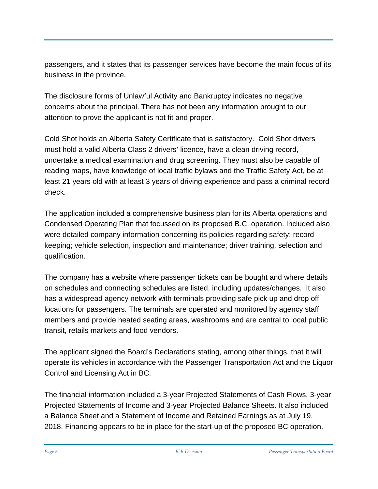passengers, and it states that its passenger services have become the main focus of its business in the province.

The disclosure forms of Unlawful Activity and Bankruptcy indicates no negative concerns about the principal. There has not been any information brought to our attention to prove the applicant is not fit and proper.

Cold Shot holds an Alberta Safety Certificate that is satisfactory. Cold Shot drivers must hold a valid Alberta Class 2 drivers' licence, have a clean driving record, undertake a medical examination and drug screening. They must also be capable of reading maps, have knowledge of local traffic bylaws and the Traffic Safety Act, be at least 21 years old with at least 3 years of driving experience and pass a criminal record check.

The application included a comprehensive business plan for its Alberta operations and Condensed Operating Plan that focussed on its proposed B.C. operation. Included also were detailed company information concerning its policies regarding safety; record keeping; vehicle selection, inspection and maintenance; driver training, selection and qualification.

The company has a website where passenger tickets can be bought and where details on schedules and connecting schedules are listed, including updates/changes. It also has a widespread agency network with terminals providing safe pick up and drop off locations for passengers. The terminals are operated and monitored by agency staff members and provide heated seating areas, washrooms and are central to local public transit, retails markets and food vendors.

The applicant signed the Board's Declarations stating, among other things, that it will operate its vehicles in accordance with the Passenger Transportation Act and the Liquor Control and Licensing Act in BC.

The financial information included a 3-year Projected Statements of Cash Flows, 3-year Projected Statements of Income and 3-year Projected Balance Sheets. It also included a Balance Sheet and a Statement of Income and Retained Earnings as at July 19, 2018. Financing appears to be in place for the start-up of the proposed BC operation.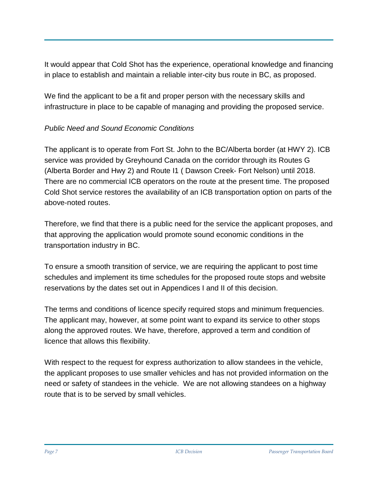It would appear that Cold Shot has the experience, operational knowledge and financing in place to establish and maintain a reliable inter-city bus route in BC, as proposed.

We find the applicant to be a fit and proper person with the necessary skills and infrastructure in place to be capable of managing and providing the proposed service.

## *Public Need and Sound Economic Conditions*

The applicant is to operate from Fort St. John to the BC/Alberta border (at HWY 2). ICB service was provided by Greyhound Canada on the corridor through its Routes G (Alberta Border and Hwy 2) and Route I1 ( Dawson Creek- Fort Nelson) until 2018. There are no commercial ICB operators on the route at the present time. The proposed Cold Shot service restores the availability of an ICB transportation option on parts of the above-noted routes.

Therefore, we find that there is a public need for the service the applicant proposes, and that approving the application would promote sound economic conditions in the transportation industry in BC.

To ensure a smooth transition of service, we are requiring the applicant to post time schedules and implement its time schedules for the proposed route stops and website reservations by the dates set out in Appendices I and II of this decision.

The terms and conditions of licence specify required stops and minimum frequencies. The applicant may, however, at some point want to expand its service to other stops along the approved routes. We have, therefore, approved a term and condition of licence that allows this flexibility.

With respect to the request for express authorization to allow standees in the vehicle, the applicant proposes to use smaller vehicles and has not provided information on the need or safety of standees in the vehicle. We are not allowing standees on a highway route that is to be served by small vehicles.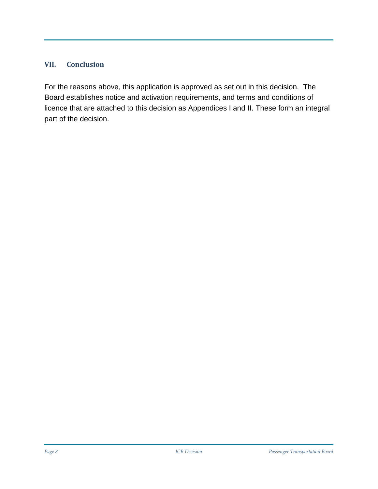#### **VII. Conclusion**

For the reasons above, this application is approved as set out in this decision. The Board establishes notice and activation requirements, and terms and conditions of licence that are attached to this decision as Appendices I and II. These form an integral part of the decision.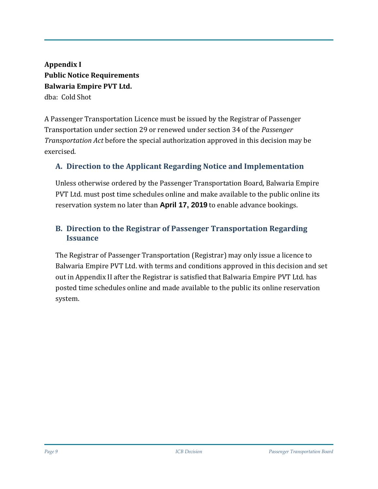**Appendix I Public Notice Requirements Balwaria Empire PVT Ltd.** dba: Cold Shot

A Passenger Transportation Licence must be issued by the Registrar of Passenger Transportation under section 29 or renewed under section 34 of the *Passenger Transportation Act* before the special authorization approved in this decision may be exercised.

## **A. Direction to the Applicant Regarding Notice and Implementation**

Unless otherwise ordered by the Passenger Transportation Board, Balwaria Empire PVT Ltd. must post time schedules online and make available to the public online its reservation system no later than **April 17, 2019** to enable advance bookings.

## **B. Direction to the Registrar of Passenger Transportation Regarding Issuance**

The Registrar of Passenger Transportation (Registrar) may only issue a licence to Balwaria Empire PVT Ltd. with terms and conditions approved in this decision and set out in Appendix II after the Registrar is satisfied that Balwaria Empire PVT Ltd. has posted time schedules online and made available to the public its online reservation system.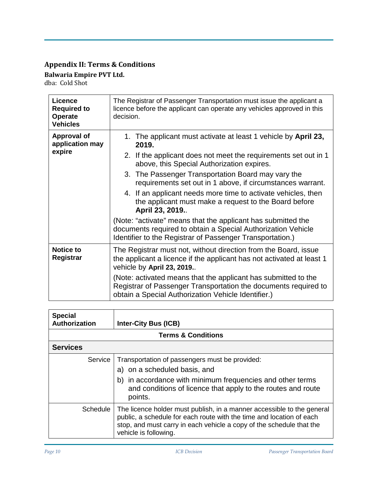# **Appendix II: Terms & Conditions**

**Balwaria Empire PVT Ltd.** dba: Cold Shot

| Licence<br><b>Required to</b><br><b>Operate</b><br><b>Vehicles</b> | The Registrar of Passenger Transportation must issue the applicant a<br>licence before the applicant can operate any vehicles approved in this<br>decision.                               |  |  |  |  |
|--------------------------------------------------------------------|-------------------------------------------------------------------------------------------------------------------------------------------------------------------------------------------|--|--|--|--|
| <b>Approval of</b><br>application may                              | 1. The applicant must activate at least 1 vehicle by April 23,<br>2019.                                                                                                                   |  |  |  |  |
| expire                                                             | 2. If the applicant does not meet the requirements set out in 1<br>above, this Special Authorization expires.                                                                             |  |  |  |  |
|                                                                    | 3. The Passenger Transportation Board may vary the<br>requirements set out in 1 above, if circumstances warrant.                                                                          |  |  |  |  |
|                                                                    | 4. If an applicant needs more time to activate vehicles, then<br>the applicant must make a request to the Board before<br>April 23, 2019                                                  |  |  |  |  |
|                                                                    | (Note: "activate" means that the applicant has submitted the<br>documents required to obtain a Special Authorization Vehicle<br>Identifier to the Registrar of Passenger Transportation.) |  |  |  |  |
| <b>Notice to</b><br>Registrar                                      | The Registrar must not, without direction from the Board, issue<br>the applicant a licence if the applicant has not activated at least 1<br>vehicle by April 23, 2019                     |  |  |  |  |
|                                                                    | (Note: activated means that the applicant has submitted to the<br>Registrar of Passenger Transportation the documents required to<br>obtain a Special Authorization Vehicle Identifier.)  |  |  |  |  |

| <b>Special</b><br>Authorization | <b>Inter-City Bus (ICB)</b>                                                                                                                                                                                                                     |  |  |  |
|---------------------------------|-------------------------------------------------------------------------------------------------------------------------------------------------------------------------------------------------------------------------------------------------|--|--|--|
| <b>Terms &amp; Conditions</b>   |                                                                                                                                                                                                                                                 |  |  |  |
| <b>Services</b>                 |                                                                                                                                                                                                                                                 |  |  |  |
| Service                         | Transportation of passengers must be provided:<br>a) on a scheduled basis, and<br>b) in accordance with minimum frequencies and other terms<br>and conditions of licence that apply to the routes and route<br>points.                          |  |  |  |
| Schedule                        | The licence holder must publish, in a manner accessible to the general<br>public, a schedule for each route with the time and location of each<br>stop, and must carry in each vehicle a copy of the schedule that the<br>vehicle is following. |  |  |  |